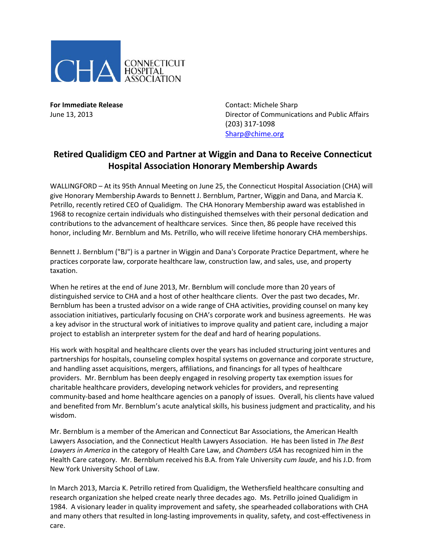

**For Immediate Release Contact: Michele Sharp** June 13, 2013 Director of Communications and Public Affairs (203) 317-1098 [Sharp@chime.org](mailto:Sharp@chime.org)

## **Retired Qualidigm CEO and Partner at Wiggin and Dana to Receive Connecticut Hospital Association Honorary Membership Awards**

WALLINGFORD – At its 95th Annual Meeting on June 25, the Connecticut Hospital Association (CHA) will give Honorary Membership Awards to Bennett J. Bernblum, Partner, Wiggin and Dana, and Marcia K. Petrillo, recently retired CEO of Qualidigm. The CHA Honorary Membership award was established in 1968 to recognize certain individuals who distinguished themselves with their personal dedication and contributions to the advancement of healthcare services. Since then, 86 people have received this honor, including Mr. Bernblum and Ms. Petrillo, who will receive lifetime honorary CHA memberships.

Bennett J. Bernblum ("BJ") is a partner in Wiggin and Dana's Corporate Practice Department, where he practices corporate law, corporate healthcare law, construction law, and sales, use, and property taxation.

When he retires at the end of June 2013, Mr. Bernblum will conclude more than 20 years of distinguished service to CHA and a host of other healthcare clients. Over the past two decades, Mr. Bernblum has been a trusted advisor on a wide range of CHA activities, providing counsel on many key association initiatives, particularly focusing on CHA's corporate work and business agreements. He was a key advisor in the structural work of initiatives to improve quality and patient care, including a major project to establish an interpreter system for the deaf and hard of hearing populations.

His work with hospital and healthcare clients over the years has included structuring joint ventures and partnerships for hospitals, counseling complex hospital systems on governance and corporate structure, and handling asset acquisitions, mergers, affiliations, and financings for all types of healthcare providers. Mr. Bernblum has been deeply engaged in resolving property tax exemption issues for charitable healthcare providers, developing network vehicles for providers, and representing community-based and home healthcare agencies on a panoply of issues. Overall, his clients have valued and benefited from Mr. Bernblum's acute analytical skills, his business judgment and practicality, and his wisdom.

Mr. Bernblum is a member of the American and Connecticut Bar Associations, the American Health Lawyers Association, and the Connecticut Health Lawyers Association. He has been listed in *The Best Lawyers in America* in the category of Health Care Law, and *Chambers USA* has recognized him in the Health Care category. Mr. Bernblum received his B.A. from Yale University *cum laude*, and his J.D. from New York University School of Law.

In March 2013, Marcia K. Petrillo retired from Qualidigm, the Wethersfield healthcare consulting and research organization she helped create nearly three decades ago. Ms. Petrillo joined Qualidigm in 1984. A visionary leader in quality improvement and safety, she spearheaded collaborations with CHA and many others that resulted in long-lasting improvements in quality, safety, and cost-effectiveness in care.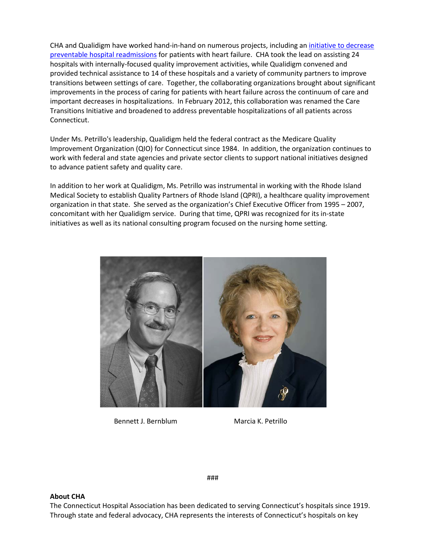CHA and Qualidigm have worked hand-in-hand on numerous projects, including an [initiative to decrease](http://www.qualidigm.org/index.php/qio-program/care-transitions/)  [preventable hospital readmissions](http://www.qualidigm.org/index.php/qio-program/care-transitions/) for patients with heart failure. CHA took the lead on assisting 24 hospitals with internally-focused quality improvement activities, while Qualidigm convened and provided technical assistance to 14 of these hospitals and a variety of community partners to improve transitions between settings of care. Together, the collaborating organizations brought about significant improvements in the process of caring for patients with heart failure across the continuum of care and important decreases in hospitalizations. In February 2012, this collaboration was renamed the Care Transitions Initiative and broadened to address preventable hospitalizations of all patients across Connecticut.

Under Ms. Petrillo's leadership, Qualidigm held the federal contract as the Medicare Quality Improvement Organization (QIO) for Connecticut since 1984. In addition, the organization continues to work with federal and state agencies and private sector clients to support national initiatives designed to advance patient safety and quality care.

In addition to her work at Qualidigm, Ms. Petrillo was instrumental in working with the Rhode Island Medical Society to establish Quality Partners of Rhode Island (QPRI), a healthcare quality improvement organization in that state. She served as the organization's Chief Executive Officer from 1995 – 2007, concomitant with her Qualidigm service. During that time, QPRI was recognized for its in-state initiatives as well as its national consulting program focused on the nursing home setting.



Bennett J. Bernblum Marcia K. Petrillo

###

## **About CHA**

The Connecticut Hospital Association has been dedicated to serving Connecticut's hospitals since 1919. Through state and federal advocacy, CHA represents the interests of Connecticut's hospitals on key